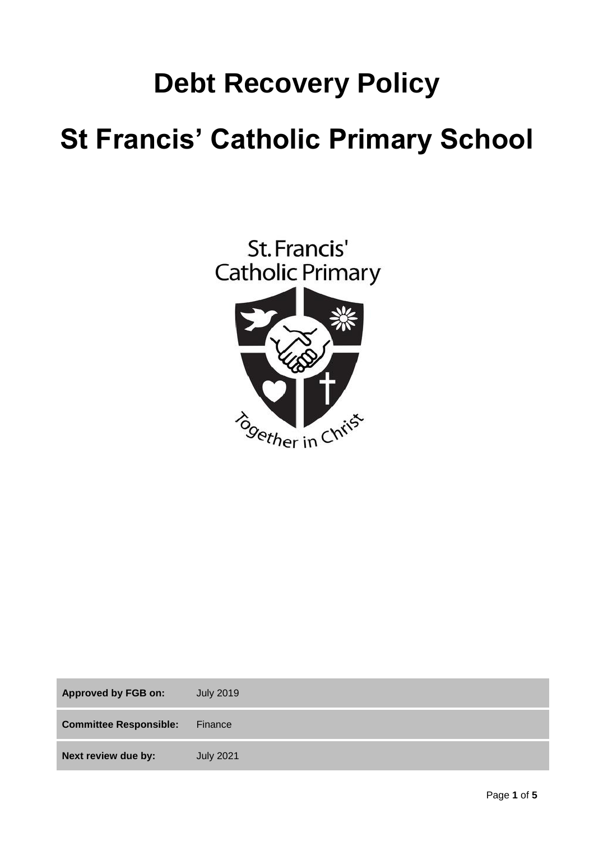# **Debt Recovery Policy St Francis' Catholic Primary School**



| <b>Approved by FGB on:</b>    | <b>July 2019</b> |
|-------------------------------|------------------|
| <b>Committee Responsible:</b> | Finance          |
| Next review due by:           | <b>July 2021</b> |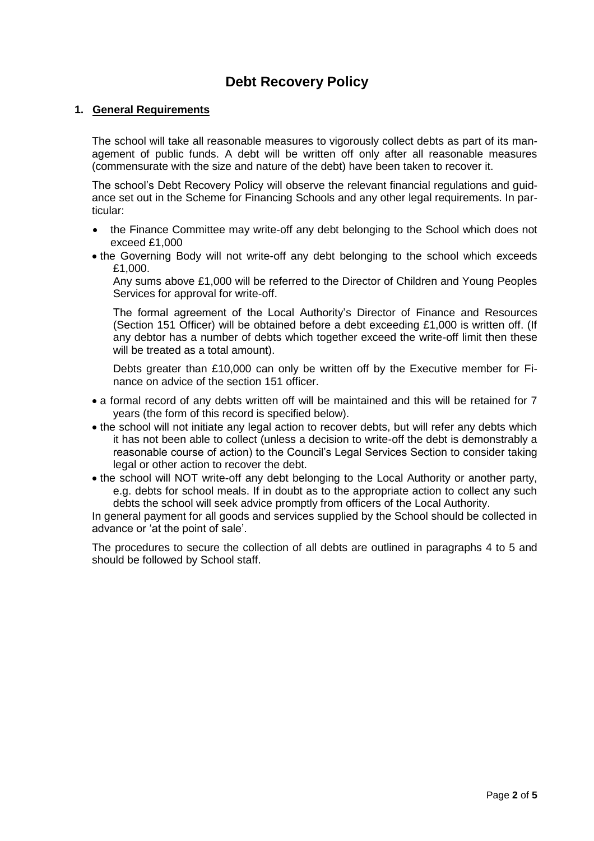## **Debt Recovery Policy**

#### **1. General Requirements**

The school will take all reasonable measures to vigorously collect debts as part of its management of public funds. A debt will be written off only after all reasonable measures (commensurate with the size and nature of the debt) have been taken to recover it.

The school's Debt Recovery Policy will observe the relevant financial regulations and guidance set out in the Scheme for Financing Schools and any other legal requirements. In particular:

- the Finance Committee may write-off any debt belonging to the School which does not exceed £1,000
- the Governing Body will not write-off any debt belonging to the school which exceeds £1,000.

Any sums above £1,000 will be referred to the Director of Children and Young Peoples Services for approval for write-off.

The formal agreement of the Local Authority's Director of Finance and Resources (Section 151 Officer) will be obtained before a debt exceeding £1,000 is written off. (If any debtor has a number of debts which together exceed the write-off limit then these will be treated as a total amount).

Debts greater than £10,000 can only be written off by the Executive member for Finance on advice of the section 151 officer.

- a formal record of any debts written off will be maintained and this will be retained for 7 years (the form of this record is specified below).
- the school will not initiate any legal action to recover debts, but will refer any debts which it has not been able to collect (unless a decision to write-off the debt is demonstrably a reasonable course of action) to the Council's Legal Services Section to consider taking legal or other action to recover the debt.
- the school will NOT write-off any debt belonging to the Local Authority or another party, e.g. debts for school meals. If in doubt as to the appropriate action to collect any such debts the school will seek advice promptly from officers of the Local Authority.

In general payment for all goods and services supplied by the School should be collected in advance or 'at the point of sale'.

The procedures to secure the collection of all debts are outlined in paragraphs 4 to 5 and should be followed by School staff.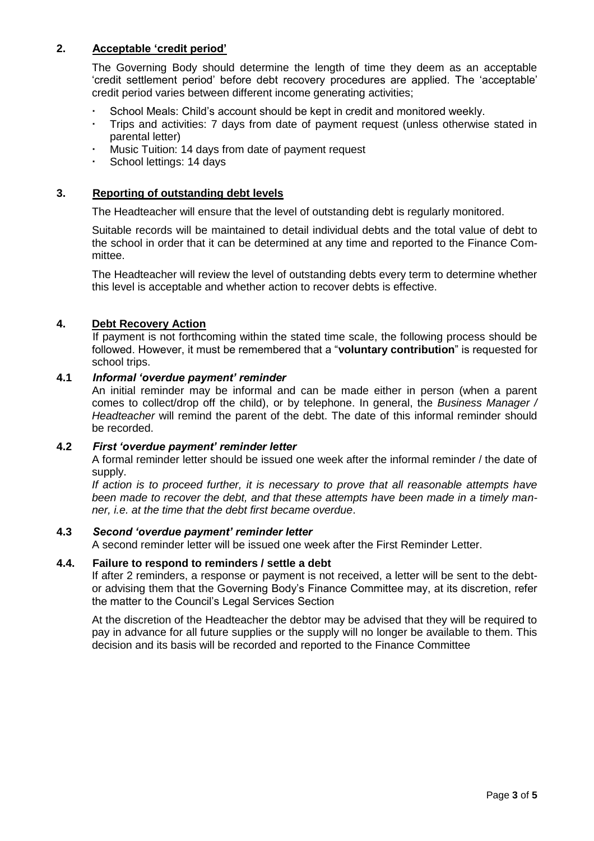#### **2. Acceptable 'credit period'**

The Governing Body should determine the length of time they deem as an acceptable 'credit settlement period' before debt recovery procedures are applied. The 'acceptable' credit period varies between different income generating activities;

- School Meals: Child's account should be kept in credit and monitored weekly.
- Trips and activities: 7 days from date of payment request (unless otherwise stated in parental letter)
- Music Tuition: 14 days from date of payment request
- School lettings: 14 days

#### **3. Reporting of outstanding debt levels**

The Headteacher will ensure that the level of outstanding debt is regularly monitored.

Suitable records will be maintained to detail individual debts and the total value of debt to the school in order that it can be determined at any time and reported to the Finance Committee.

The Headteacher will review the level of outstanding debts every term to determine whether this level is acceptable and whether action to recover debts is effective.

#### **4. Debt Recovery Action**

If payment is not forthcoming within the stated time scale, the following process should be followed. However, it must be remembered that a "**voluntary contribution**" is requested for school trips.

#### **4.1** *Informal 'overdue payment' reminder*

An initial reminder may be informal and can be made either in person (when a parent comes to collect/drop off the child), or by telephone. In general, the *Business Manager / Headteacher* will remind the parent of the debt. The date of this informal reminder should be recorded.

#### **4.2** *First 'overdue payment' reminder letter*

A formal reminder letter should be issued one week after the informal reminder / the date of supply.

*If action is to proceed further, it is necessary to prove that all reasonable attempts have been made to recover the debt, and that these attempts have been made in a timely manner, i.e. at the time that the debt first became overdue*.

#### **4.3** *Second 'overdue payment' reminder letter*

A second reminder letter will be issued one week after the First Reminder Letter.

#### **4.4. Failure to respond to reminders / settle a debt**

If after 2 reminders, a response or payment is not received, a letter will be sent to the debtor advising them that the Governing Body's Finance Committee may, at its discretion, refer the matter to the Council's Legal Services Section

At the discretion of the Headteacher the debtor may be advised that they will be required to pay in advance for all future supplies or the supply will no longer be available to them. This decision and its basis will be recorded and reported to the Finance Committee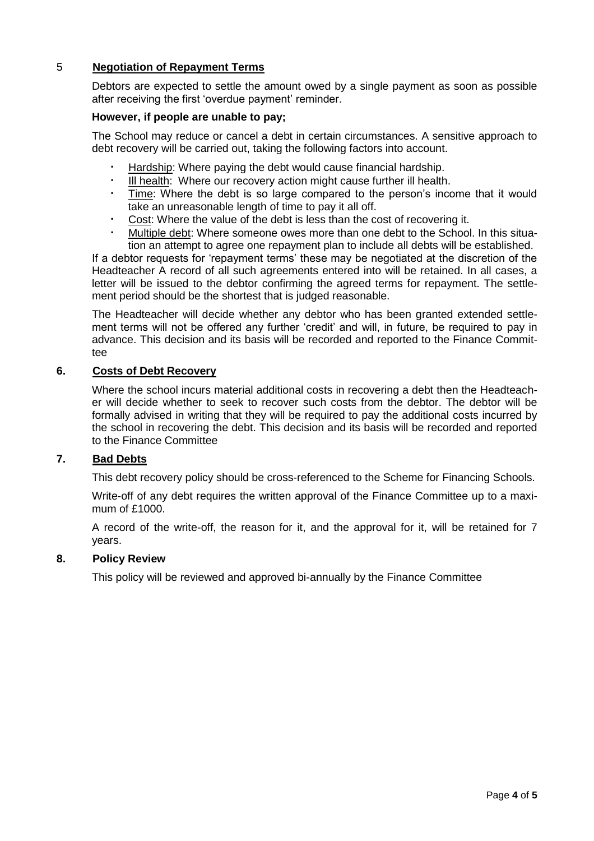#### 5 **Negotiation of Repayment Terms**

Debtors are expected to settle the amount owed by a single payment as soon as possible after receiving the first 'overdue payment' reminder.

#### **However, if people are unable to pay;**

The School may reduce or cancel a debt in certain circumstances. A sensitive approach to debt recovery will be carried out, taking the following factors into account.

- Hardship: Where paying the debt would cause financial hardship.
- Ill health: Where our recovery action might cause further ill health.
- Time: Where the debt is so large compared to the person's income that it would take an unreasonable length of time to pay it all off.
- Cost: Where the value of the debt is less than the cost of recovering it.
- Multiple debt: Where someone owes more than one debt to the School. In this situation an attempt to agree one repayment plan to include all debts will be established.

If a debtor requests for 'repayment terms' these may be negotiated at the discretion of the Headteacher A record of all such agreements entered into will be retained. In all cases, a letter will be issued to the debtor confirming the agreed terms for repayment. The settlement period should be the shortest that is judged reasonable.

The Headteacher will decide whether any debtor who has been granted extended settlement terms will not be offered any further 'credit' and will, in future, be required to pay in advance. This decision and its basis will be recorded and reported to the Finance Committee

#### **6. Costs of Debt Recovery**

Where the school incurs material additional costs in recovering a debt then the Headteacher will decide whether to seek to recover such costs from the debtor. The debtor will be formally advised in writing that they will be required to pay the additional costs incurred by the school in recovering the debt. This decision and its basis will be recorded and reported to the Finance Committee

#### **7. Bad Debts**

This debt recovery policy should be cross-referenced to the Scheme for Financing Schools.

Write-off of any debt requires the written approval of the Finance Committee up to a maximum of £1000.

A record of the write-off, the reason for it, and the approval for it, will be retained for 7 years.

#### **8. Policy Review**

This policy will be reviewed and approved bi-annually by the Finance Committee